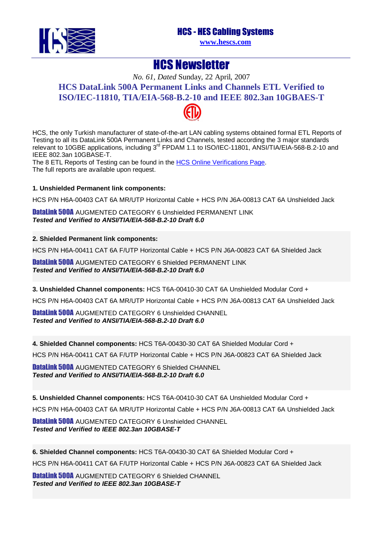HCS - HES Cabling Systems



**[www.hescs.com](http://www.hescs.com/)**

## HCS Newsletter

*No. 61, Dated* Sunday, 22 April, 2007 **HCS DataLink 500A Permanent Links and Channels ETL Verified to ISO/IEC-11810, TIA/EIA-568-B[.2-10](http://www.intertek-etlsemko.com/portal/page?_pageid=34111603&_dad=cust_portal&_schema=CUST_PORTAL) and IEEE 802.3an 10GBAES-T** 



HCS, the only Turkish manufacturer of state-of-the-art LAN cabling systems obtained formal ETL Reports of Testing to all its DataLink 500A Permanent Links and Channels, tested according the 3 major standards relevant to 10GBE applications, including 3<sup>rd</sup> FPDAM 1.1 to ISO/IEC-11801, ANSI/TIA/EIA-568-B.2-10 and IEEE 802.3an 10GBASE-T.

The 8 ETL Reports of Testing can be found in the [HCS Online Verifications Page](http://www.hescs.com/eng/?s=verifications.htm). The full reports are available upon request.

## **1. Unshielded Permanent link components:**

HCS P/N H6A-00403 CAT 6A MR/UTP Horizontal Cable + HCS P/N J6A-00813 CAT 6A Unshielded Jack

DataLink 500A AUGMENTED CATEGORY 6 Unshielded PERMANENT LINK **Tested and Verified to ANSI/TIA/EIA-568-B.2-10 Draft 6.0** 

## **2. Shielded Permanent link components:**

HCS P/N H6A-00411 CAT 6A F/UTP Horizontal Cable + HCS P/N J6A-00823 CAT 6A Shielded Jack

DataLink 500A AUGMENTED CATEGORY 6 Shielded PERMANENT LINK **Tested and Verified to ANSI/TIA/EIA-568-B.2-10 Draft 6.0** 

**3. Unshielded Channel components:** HCS T6A-00410-30 CAT 6A Unshielded Modular Cord +

HCS P/N H6A-00403 CAT 6A MR/UTP Horizontal Cable + HCS P/N J6A-00813 CAT 6A Unshielded Jack

DataLink 500A AUGMENTED CATEGORY 6 Unshielded CHANNEL **Tested and Verified to ANSI/TIA/EIA-568-B.2-10 Draft 6.0** 

**4. Shielded Channel components:** HCS T6A-00430-30 CAT 6A Shielded Modular Cord +

HCS P/N H6A-00411 CAT 6A F/UTP Horizontal Cable + HCS P/N J6A-00823 CAT 6A Shielded Jack

DataLink 500A AUGMENTED CATEGORY 6 Shielded CHANNEL **Tested and Verified to ANSI/TIA/EIA-568-B.2-10 Draft 6.0** 

**5. Unshielded Channel components:** HCS T6A-00410-30 CAT 6A Unshielded Modular Cord +

HCS P/N H6A-00403 CAT 6A MR/UTP Horizontal Cable + HCS P/N J6A-00813 CAT 6A Unshielded Jack

DataLink 500A AUGMENTED CATEGORY 6 Unshielded CHANNEL **Tested and Verified to IEEE 802.3an 10GBASE-T** 

**6. Shielded Channel components:** HCS T6A-00430-30 CAT 6A Shielded Modular Cord +

HCS P/N H6A-00411 CAT 6A F/UTP Horizontal Cable + HCS P/N J6A-00823 CAT 6A Shielded Jack

DataLink 500A AUGMENTED CATEGORY 6 Shielded CHANNEL **Tested and Verified to IEEE 802.3an 10GBASE-T**